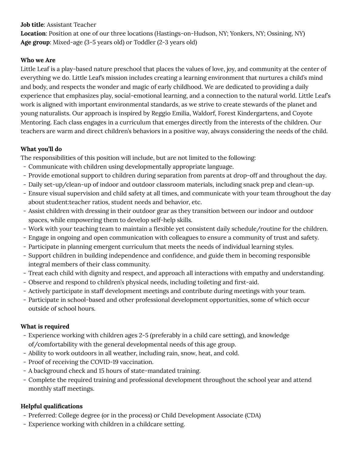### **Job title**: Assistant Teacher

**Location**: Position at one of our three locations (Hastings-on-Hudson, NY; Yonkers, NY; Ossining, NY) **Age group**: Mixed-age (3-5 years old) or Toddler (2-3 years old)

## **Who we Are**

Little Leaf is a play-based nature preschool that places the values of love, joy, and community at the center of everything we do. Little Leaf's mission includes creating a learning environment that nurtures a child's mind and body, and respects the wonder and magic of early childhood. We are dedicated to providing a daily experience that emphasizes play, social-emotional learning, and a connection to the natural world. Little Leaf's work is aligned with important environmental standards, as we strive to create stewards of the planet and young naturalists. Our approach is inspired by Reggio Emilia, Waldorf, Forest Kindergartens, and Coyote Mentoring. Each class engages in a curriculum that emerges directly from the interests of the children. Our teachers are warm and direct children's behaviors in a positive way, always considering the needs of the child.

## **What you'll do**

The responsibilities of this position will include, but are not limited to the following:

- Communicate with children using developmentally appropriate language.
- Provide emotional support to children during separation from parents at drop-off and throughout the day.
- Daily set-up/clean-up of indoor and outdoor classroom materials, including snack prep and clean-up.
- Ensure visual supervision and child safety at all times, and communicate with your team throughout the day about student:teacher ratios, student needs and behavior, etc.
- Assist children with dressing in their outdoor gear as they transition between our indoor and outdoor spaces, while empowering them to develop self-help skills.
- Work with your teaching team to maintain a flexible yet consistent daily schedule/routine for the children.
- Engage in ongoing and open communication with colleagues to ensure a community of trust and safety.
- Participate in planning emergent curriculum that meets the needs of individual learning styles.
- Support children in building independence and confidence, and guide them in becoming responsible integral members of their class community.
- Treat each child with dignity and respect, and approach all interactions with empathy and understanding.
- Observe and respond to children's physical needs, including toileting and first-aid.
- Actively participate in staff development meetings and contribute during meetings with your team.
- Participate in school-based and other professional development opportunities, some of which occur outside of school hours.

# **What is required**

- Experience working with children ages 2-5 (preferably in a child care setting), and knowledge of/comfortability with the general developmental needs of this age group.
- Ability to work outdoors in all weather, including rain, snow, heat, and cold.
- Proof of receiving the COVID-19 vaccination.
- A background check and 15 hours of state-mandated training.
- Complete the required training and professional development throughout the school year and attend monthly staff meetings.

# **Helpful qualifications**

- Preferred: College degree (or in the process) or Child Development Associate (CDA)
- Experience working with children in a childcare setting.